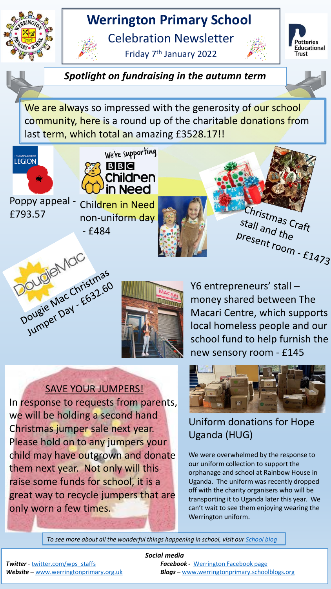## **Werrington Primary School**

Celebration Newsletter

Friday 7th January 2022





*Spotlight on fundraising in the autumn term*

We are always so impressed with the generosity of our school community, here is a round up of the charitable donations from last term, which total an amazing £3528.17!!





Poppy appeal - £793.57

Children in Need non-uniform day







Y6 entrepreneurs' stall – money shared between The Macari Centre, which supports local homeless people and our school fund to help furnish the new sensory room - £145

## SAVE YOUR JUMPERS!

In response to requests from parents, we will be holding a second hand Christmas jumper sale next year. Please hold on to any jumpers your child may have outgrown and donate them next year. Not only will this raise some funds for school, it is a great way to recycle jumpers that are only worn a few times.



## Uniform donations for Hope Uganda (HUG)

We were overwhelmed by the response to our uniform collection to support the orphanage and school at Rainbow House in Uganda. The uniform was recently dropped off with the charity organisers who will be transporting it to Uganda later this year. We can't wait to see them enjoying wearing the Werrington uniform.

*To see more about all the wonderful things happening in school, visit our [School blog](http://werringtonprimary.schoolblogs.org/)*

*Social media* **Twitter** - [twitter.com/wps\\_staffs](http://twitter.com/wps_staffs) **Facebook - [Werrington Facebook page](https/www.facebook.com/Werrington-Primary-School-Staffs-1512795939031470/)** *Website* – [www.werringtonprimary.org.uk](http://www.werringtonprimary.org.uk) *Blogs* – [www.werringtonprimary.schoolblogs.org](http://www.werringtonprimary.schoolblogs.org)